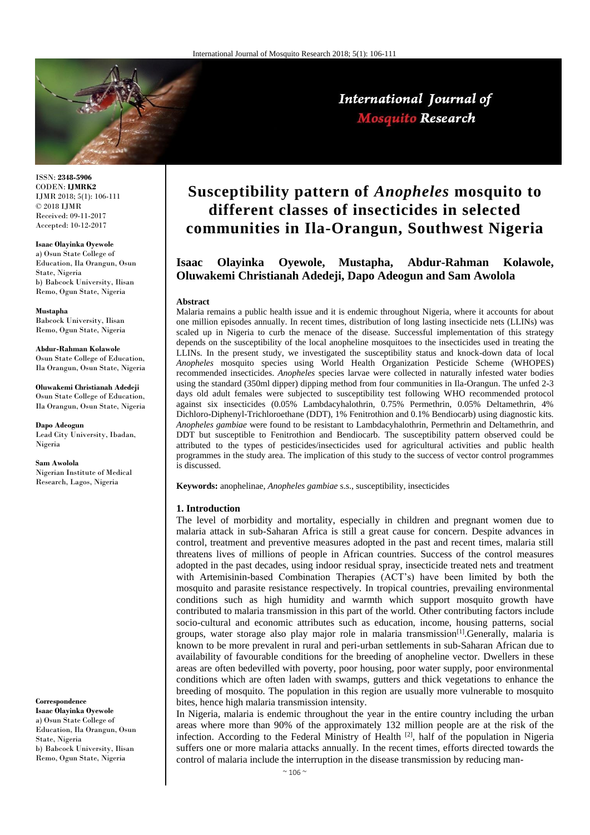

International Journal of **Mosquito Research** 

ISSN: **2348-5906** CODEN: **IJMRK2** IJMR 2018; 5(1): 106-111 © 2018 IJMR Received: 09-11-2017 Accepted: 10-12-2017

**Isaac Olayinka Oyewole** a) Osun State College of Education, Ila Orangun, Osun State, Nigeria b) Babcock University, Ilisan Remo, Ogun State, Nigeria

**Mustapha** Babcock University, Ilisan Remo, Ogun State, Nigeria

**Abdur-Rahman Kolawole** Osun State College of Education, Ila Orangun, Osun State, Nigeria

**Oluwakemi Christianah Adedeji** Osun State College of Education, Ila Orangun, Osun State, Nigeria

**Dapo Adeogun** Lead City University, Ibadan, Nigeria

**Sam Awolola** Nigerian Institute of Medical Research, Lagos, Nigeria

**Correspondence Isaac Olayinka Oyewole** a) Osun State College of Education, Ila Orangun, Osun State, Nigeria b) Babcock University, Ilisan Remo, Ogun State, Nigeria

# **Susceptibility pattern of** *Anopheles* **mosquito to different classes of insecticides in selected communities in Ila-Orangun, Southwest Nigeria**

# **Isaac Olayinka Oyewole, Mustapha, Abdur-Rahman Kolawole, Oluwakemi Christianah Adedeji, Dapo Adeogun and Sam Awolola**

#### **Abstract**

Malaria remains a public health issue and it is endemic throughout Nigeria, where it accounts for about one million episodes annually. In recent times, distribution of long lasting insecticide nets (LLINs) was scaled up in Nigeria to curb the menace of the disease. Successful implementation of this strategy depends on the susceptibility of the local anopheline mosquitoes to the insecticides used in treating the LLINs. In the present study, we investigated the susceptibility status and knock-down data of local *Anopheles* mosquito species using World Health Organization Pesticide Scheme (WHOPES) recommended insecticides. *Anopheles* species larvae were collected in naturally infested water bodies using the standard (350ml dipper) dipping method from four communities in Ila-Orangun. The unfed 2-3 days old adult females were subjected to susceptibility test following WHO recommended protocol against six insecticides (0.05% Lambdacyhalothrin, 0.75% Permethrin, 0.05% Deltamethrin, 4% Dichloro-Diphenyl-Trichloroethane (DDT), 1% Fenitrothion and 0.1% Bendiocarb) using diagnostic kits. *Anopheles gambiae* were found to be resistant to Lambdacyhalothrin, Permethrin and Deltamethrin, and DDT but susceptible to Fenitrothion and Bendiocarb. The susceptibility pattern observed could be attributed to the types of pesticides/insecticides used for agricultural activities and public health programmes in the study area. The implication of this study to the success of vector control programmes is discussed.

**Keywords:** anophelinae, *Anopheles gambiae* s.s., susceptibility, insecticides

#### **1. Introduction**

The level of morbidity and mortality, especially in children and pregnant women due to malaria attack in sub-Saharan Africa is still a great cause for concern. Despite advances in control, treatment and preventive measures adopted in the past and recent times, malaria still threatens lives of millions of people in African countries. Success of the control measures adopted in the past decades, using indoor residual spray, insecticide treated nets and treatment with Artemisinin-based Combination Therapies (ACT's) have been limited by both the mosquito and parasite resistance respectively. In tropical countries, prevailing environmental conditions such as high humidity and warmth which support mosquito growth have contributed to malaria transmission in this part of the world. Other contributing factors include socio-cultural and economic attributes such as education, income, housing patterns, social groups, water storage also play major role in malaria transmission[1].Generally, malaria is known to be more prevalent in rural and peri-urban settlements in sub-Saharan African due to availability of favourable conditions for the breeding of anopheline vector. Dwellers in these areas are often bedevilled with poverty, poor housing, poor water supply, poor environmental conditions which are often laden with swamps, gutters and thick vegetations to enhance the breeding of mosquito. The population in this region are usually more vulnerable to mosquito bites, hence high malaria transmission intensity.

In Nigeria, malaria is endemic throughout the year in the entire country including the urban areas where more than 90% of the approximately 132 million people are at the risk of the infection. According to the Federal Ministry of Health [2], half of the population in Nigeria suffers one or more malaria attacks annually. In the recent times, efforts directed towards the control of malaria include the interruption in the disease transmission by reducing man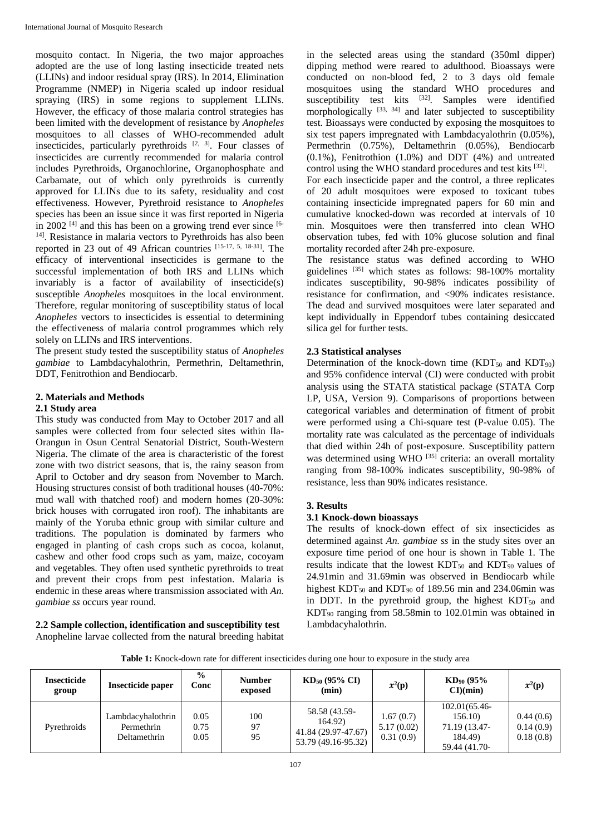mosquito contact. In Nigeria, the two major approaches adopted are the use of long lasting insecticide treated nets (LLINs) and indoor residual spray (IRS). In 2014, Elimination Programme (NMEP) in Nigeria scaled up indoor residual spraying (IRS) in some regions to supplement LLINs. However, the efficacy of those malaria control strategies has been limited with the development of resistance by *Anopheles* mosquitoes to all classes of WHO-recommended adult insecticides, particularly pyrethroids  $[2, 3]$ . Four classes of insecticides are currently recommended for malaria control includes Pyrethroids, Organochlorine, Organophosphate and Carbamate, out of which only pyrethroids is currently approved for LLINs due to its safety, residuality and cost effectiveness. However, Pyrethroid resistance to *Anopheles* species has been an issue since it was first reported in Nigeria in 2002  $[4]$  and this has been on a growing trend ever since  $[6-$ <sup>14]</sup>. Resistance in malaria vectors to Pyrethroids has also been reported in 23 out of 49 African countries [15-17, 5, 18-31] . The efficacy of interventional insecticides is germane to the successful implementation of both IRS and LLINs which invariably is a factor of availability of insecticide(s) susceptible *Anopheles* mosquitoes in the local environment. Therefore, regular monitoring of susceptibility status of local *Anopheles* vectors to insecticides is essential to determining the effectiveness of malaria control programmes which rely solely on LLINs and IRS interventions.

The present study tested the susceptibility status of *Anopheles gambiae* to Lambdacyhalothrin, Permethrin, Deltamethrin, DDT, Fenitrothion and Bendiocarb.

# **2. Materials and Methods**

# **2.1 Study area**

This study was conducted from May to October 2017 and all samples were collected from four selected sites within Ila-Orangun in Osun Central Senatorial District, South-Western Nigeria. The climate of the area is characteristic of the forest zone with two district seasons, that is, the rainy season from April to October and dry season from November to March. Housing structures consist of both traditional houses (40-70%: mud wall with thatched roof) and modern homes (20-30%: brick houses with corrugated iron roof). The inhabitants are mainly of the Yoruba ethnic group with similar culture and traditions. The population is dominated by farmers who engaged in planting of cash crops such as cocoa, kolanut, cashew and other food crops such as yam, maize, cocoyam and vegetables. They often used synthetic pyrethroids to treat and prevent their crops from pest infestation. Malaria is endemic in these areas where transmission associated with *An. gambiae ss* occurs year round.

**2.2 Sample collection, identification and susceptibility test** Anopheline larvae collected from the natural breeding habitat

in the selected areas using the standard (350ml dipper) dipping method were reared to adulthood. Bioassays were conducted on non-blood fed, 2 to 3 days old female mosquitoes using the standard WHO procedures and susceptibility test kits  $[32]$ . Samples were identified morphologically  $^{[33, 34]}$  and later subjected to susceptibility test. Bioassays were conducted by exposing the mosquitoes to six test papers impregnated with Lambdacyalothrin (0.05%), Permethrin (0.75%), Deltamethrin (0.05%), Bendiocarb (0.1%), Fenitrothion (1.0%) and DDT (4%) and untreated control using the WHO standard procedures and test kits [32].

For each insecticide paper and the control, a three replicates of 20 adult mosquitoes were exposed to toxicant tubes containing insecticide impregnated papers for 60 min and cumulative knocked-down was recorded at intervals of 10 min. Mosquitoes were then transferred into clean WHO observation tubes, fed with 10% glucose solution and final mortality recorded after 24h pre-exposure.

The resistance status was defined according to WHO guidelines [35] which states as follows: 98-100% mortality indicates susceptibility, 90-98% indicates possibility of resistance for confirmation, and <90% indicates resistance. The dead and survived mosquitoes were later separated and kept individually in Eppendorf tubes containing desiccated silica gel for further tests.

# **2.3 Statistical analyses**

Determination of the knock-down time  $(KDT_{50}$  and  $KDT_{90}$ ) and 95% confidence interval (CI) were conducted with probit analysis using the STATA statistical package (STATA Corp LP, USA, Version 9). Comparisons of proportions between categorical variables and determination of fitment of probit were performed using a Chi-square test (P-value 0.05). The mortality rate was calculated as the percentage of individuals that died within 24h of post-exposure. Susceptibility pattern was determined using WHO<sup>[35]</sup> criteria: an overall mortality ranging from 98-100% indicates susceptibility, 90-98% of resistance, less than 90% indicates resistance.

# **3. Results**

# **3.1 Knock-down bioassays**

The results of knock-down effect of six insecticides as determined against *An. gambiae ss* in the study sites over an exposure time period of one hour is shown in Table 1. The results indicate that the lowest  $KDT_{50}$  and  $KDT_{90}$  values of 24.91min and 31.69min was observed in Bendiocarb while highest  $KDT_{50}$  and  $KDT_{90}$  of 189.56 min and 234.06min was in DDT. In the pyrethroid group, the highest  $KDT<sub>50</sub>$  and KDT<sup>90</sup> ranging from 58.58min to 102.01min was obtained in Lambdacyhalothrin.

**Table 1:** Knock-down rate for different insecticides during one hour to exposure in the study area

| <b>Insecticide</b><br>group | Insecticide paper                               | $\frac{6}{9}$<br>Conc | <b>Number</b><br>exposed | $KD_{50}$ (95% CI)<br>(min)                                            | $x^2(p)$                             | $KD_{90}$ (95%)<br>$CI$ $(min)$                                       | $x^2(p)$                            |
|-----------------------------|-------------------------------------------------|-----------------------|--------------------------|------------------------------------------------------------------------|--------------------------------------|-----------------------------------------------------------------------|-------------------------------------|
| Pyrethroids                 | Lambdacyhalothrin<br>Permethrin<br>Deltamethrin | 0.05<br>0.75<br>0.05  | 100<br>97<br>95          | 58.58 (43.59-<br>164.92)<br>41.84 (29.97-47.67)<br>53.79 (49.16-95.32) | 1.67(0.7)<br>5.17(0.02)<br>0.31(0.9) | 102.01(65.46-<br>156.10)<br>71.19 (13.47-<br>184.49)<br>59.44 (41.70- | 0.44(0.6)<br>0.14(0.9)<br>0.18(0.8) |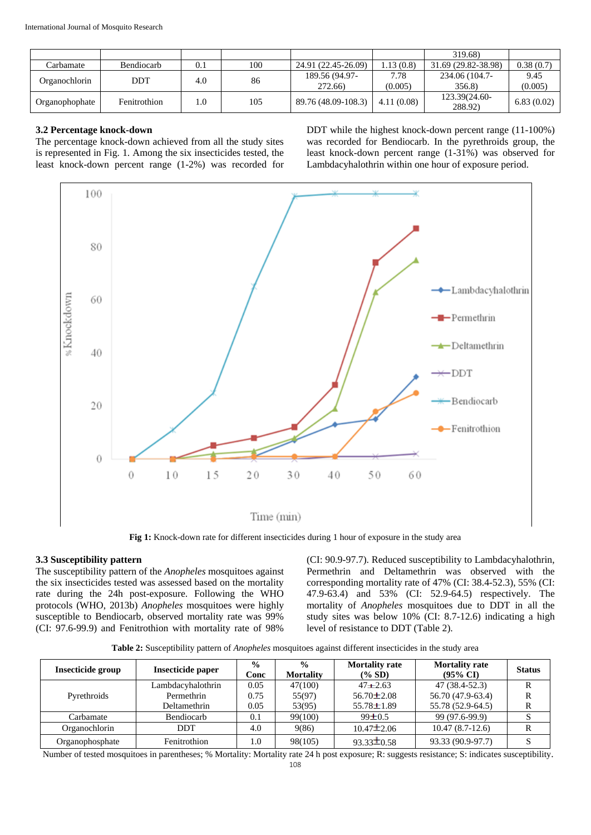|                |                   |     |     |                           |                 | 319.68)                  |                 |
|----------------|-------------------|-----|-----|---------------------------|-----------------|--------------------------|-----------------|
| ∑arbamate      | <b>Bendiocarb</b> | 0.1 | 100 | 24.91 (22.45-26.09)       | 1.13 (0.8)      | 31.69 (29.82-38.98)      | 0.38(0.7)       |
| Organochlorin  | DDT               | 4.0 | 86  | 189.56 (94.97-<br>272.66) | 7.78<br>(0.005) | 234.06 (104.7-<br>356.8) | 9.45<br>(0.005) |
| Organophophate | Fenitrothion      | 1.0 | 105 | 89.76 (48.09-108.3)       | 4.11(0.08)      | 123.39(24.60-<br>288.92) | 6.83(0.02)      |

# **3.2 Percentage knock-down**

The percentage knock-down achieved from all the study sites is represented in Fig. 1. Among the six insecticides tested, the least knock-down percent range (1-2%) was recorded for DDT while the highest knock-down percent range (11-100%) was recorded for Bendiocarb. In the pyrethroids group, the least knock-down percent range (1-31%) was observed for Lambdacyhalothrin within one hour of exposure period.



**Fig 1:** Knock-down rate for different insecticides during 1 hour of exposure in the study area

# **3.3 Susceptibility pattern**

The susceptibility pattern of the *Anopheles* mosquitoes against the six insecticides tested was assessed based on the mortality rate during the 24h post-exposure. Following the WHO protocols (WHO, 2013b) *Anopheles* mosquitoes were highly susceptible to Bendiocarb, observed mortality rate was 99% (CI: 97.6-99.9) and Fenitrothion with mortality rate of 98%

(CI: 90.9-97.7). Reduced susceptibility to Lambdacyhalothrin, Permethrin and Deltamethrin was observed with the corresponding mortality rate of 47% (CI: 38.4-52.3), 55% (CI: 47.9-63.4) and 53% (CI: 52.9-64.5) respectively. The mortality of *Anopheles* mosquitoes due to DDT in all the study sites was below 10% (CI: 8.7-12.6) indicating a high level of resistance to DDT (Table 2).

**Table 2:** Susceptibility pattern of *Anopheles* mosquitoes against different insecticides in the study area

| Insecticide group | Insecticide paper | $\frac{6}{10}$<br>Conc | $\frac{0}{0}$<br><b>Mortality</b> | <b>Mortality rate</b><br>$(\% SD)$ | <b>Mortality rate</b><br>$(95\% \text{ CI})$ | <b>Status</b> |
|-------------------|-------------------|------------------------|-----------------------------------|------------------------------------|----------------------------------------------|---------------|
|                   | Lambdacyhalothrin | 0.05                   | 47(100)                           | $47 + 2.63$                        | $47(38.4-52.3)$                              | R             |
| Pyrethroids       | Permethrin        | 0.75                   | 55(97)                            | $56.70 \pm 2.08$                   | 56.70 (47.9-63.4)                            | R             |
|                   | Deltamethrin      | 0.05                   | 53(95)                            | $55.78 \pm 1.89$                   | 55.78 (52.9-64.5)                            | R             |
| Carbamate         | Bendiocarb        | 0.1                    | 99(100)                           | $99 \pm 0.5$                       | 99 (97.6-99.9)                               | S             |
| Organochlorin     | <b>DDT</b>        | 4.0                    | 9(86)                             | $10.47 \pm 2.06$                   | $10.47(8.7-12.6)$                            | R             |
| Organophosphate   | Fenitrothion      | 1.0                    | 98(105)                           | $93.33 \pm 0.58$                   | 93.33 (90.9-97.7)                            |               |

Number of tested mosquitoes in parentheses; % Mortality: Mortality rate 24 h post exposure; R: suggests resistance; S: indicates susceptibility.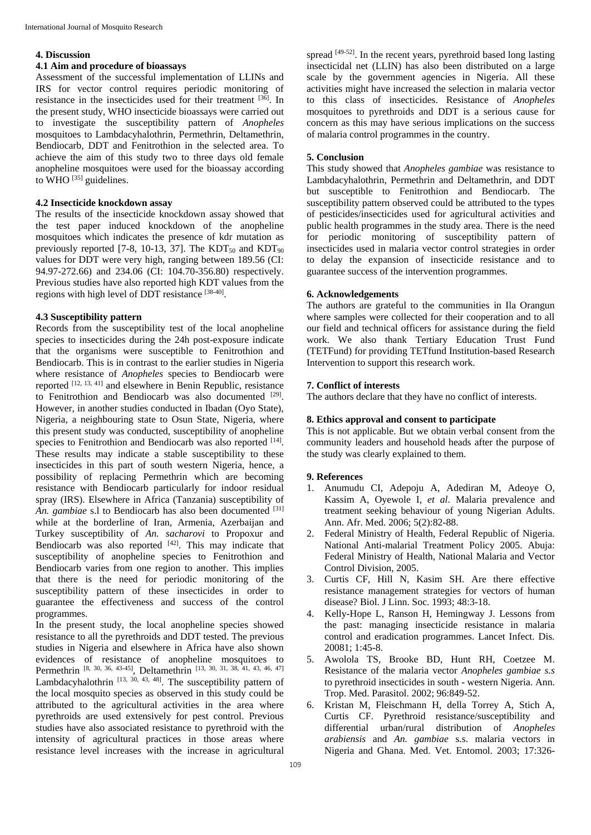#### **4. Discussion**

# **4.1 Aim and procedure of bioassays**

Assessment of the successful implementation of LLINs and IRS for vector control requires periodic monitoring of resistance in the insecticides used for their treatment [36] . In the present study, WHO insecticide bioassays were carried out to investigate the susceptibility pattern of *Anopheles* mosquitoes to Lambdacyhalothrin, Permethrin, Deltamethrin, Bendiocarb, DDT and Fenitrothion in the selected area. To achieve the aim of this study two to three days old female anopheline mosquitoes were used for the bioassay according to  $\rm WHO$ <sup>[35]</sup> guidelines.

#### **4.2 Insecticide knockdown assay**

The results of the insecticide knockdown assay showed that the test paper induced knockdown of the anopheline mosquitoes which indicates the presence of kdr mutation as previously reported [7-8, 10-13, 37]. The  $KDT_{50}$  and  $KDT_{90}$ values for DDT were very high, ranging between 189.56 (CI: 94.97-272.66) and 234.06 (CI: 104.70-356.80) respectively. Previous studies have also reported high KDT values from the regions with high level of DDT resistance [38-40].

# **4.3 Susceptibility pattern**

Records from the susceptibility test of the local anopheline species to insecticides during the 24h post-exposure indicate that the organisms were susceptible to Fenitrothion and Bendiocarb. This is in contrast to the earlier studies in Nigeria where resistance of *Anopheles* species to Bendiocarb were reported [12, 13, 41] and elsewhere in Benin Republic, resistance to Fenitrothion and Bendiocarb was also documented [29]. However, in another studies conducted in Ibadan (Oyo State), Nigeria, a neighbouring state to Osun State, Nigeria, where this present study was conducted, susceptibility of anopheline species to Fenitrothion and Bendiocarb was also reported [14]. These results may indicate a stable susceptibility to these insecticides in this part of south western Nigeria, hence, a possibility of replacing Permethrin which are becoming resistance with Bendiocarb particularly for indoor residual spray (IRS). Elsewhere in Africa (Tanzania) susceptibility of An. gambiae s.l to Bendiocarb has also been documented [31] while at the borderline of Iran, Armenia, Azerbaijan and Turkey susceptibility of *An. sacharovi* to Propoxur and Bendiocarb was also reported  $[42]$ . This may indicate that susceptibility of anopheline species to Fenitrothion and Bendiocarb varies from one region to another. This implies that there is the need for periodic monitoring of the susceptibility pattern of these insecticides in order to guarantee the effectiveness and success of the control programmes.

In the present study, the local anopheline species showed resistance to all the pyrethroids and DDT tested. The previous studies in Nigeria and elsewhere in Africa have also shown evidences of resistance of anopheline mosquitoes to Permethrin [8, 30, 36, 43-45], Deltamethrin [13, 30, 31, 38, 41, 43, 46, 47] Lambdacyhalothrin  $[13, 30, 43, 48]$ . The susceptibility pattern of the local mosquito species as observed in this study could be attributed to the agricultural activities in the area where pyrethroids are used extensively for pest control. Previous studies have also associated resistance to pyrethroid with the intensity of agricultural practices in those areas where resistance level increases with the increase in agricultural

spread  $[49-52]$ . In the recent years, pyrethroid based long lasting insecticidal net (LLIN) has also been distributed on a large scale by the government agencies in Nigeria. All these activities might have increased the selection in malaria vector to this class of insecticides. Resistance of *Anopheles* mosquitoes to pyrethroids and DDT is a serious cause for concern as this may have serious implications on the success of malaria control programmes in the country.

# **5. Conclusion**

This study showed that *Anopheles gambiae* was resistance to Lambdacyhalothrin, Permethrin and Deltamethrin, and DDT but susceptible to Fenitrothion and Bendiocarb. The susceptibility pattern observed could be attributed to the types of pesticides/insecticides used for agricultural activities and public health programmes in the study area. There is the need for periodic monitoring of susceptibility pattern of insecticides used in malaria vector control strategies in order to delay the expansion of insecticide resistance and to guarantee success of the intervention programmes.

# **6. Acknowledgements**

The authors are grateful to the communities in Ila Orangun where samples were collected for their cooperation and to all our field and technical officers for assistance during the field work. We also thank Tertiary Education Trust Fund (TETFund) for providing TETfund Institution-based Research Intervention to support this research work.

# **7. Conflict of interests**

The authors declare that they have no conflict of interests.

#### **8. Ethics approval and consent to participate**

This is not applicable. But we obtain verbal consent from the community leaders and household heads after the purpose of the study was clearly explained to them.

# **9. References**

- 1. Anumudu CI, Adepoju A, Adediran M, Adeoye O, Kassim A, Oyewole I, *et al*. Malaria prevalence and treatment seeking behaviour of young Nigerian Adults. Ann. Afr. Med. 2006; 5(2):82-88.
- 2. Federal Ministry of Health, Federal Republic of Nigeria. National Anti-malarial Treatment Policy 2005. Abuja: Federal Ministry of Health, National Malaria and Vector Control Division, 2005.
- 3. Curtis CF, Hill N, Kasim SH. Are there effective resistance management strategies for vectors of human disease? Biol. J Linn. Soc. 1993; 48:3-18.
- 4. Kelly-Hope L, Ranson H, Hemingway J. Lessons from the past: managing insecticide resistance in malaria control and eradication programmes. Lancet Infect. Dis*.* 20081; 1:45-8.
- 5. Awolola TS, Brooke BD, Hunt RH, Coetzee M. Resistance of the malaria vector *Anopheles gambiae s.s*  to pyrethroid insecticides in south - western Nigeria. Ann. Trop. Med. Parasitol. 2002; 96:849-52.
- 6. Kristan M, Fleischmann H, della Torrey A, Stich A, Curtis CF. Pyrethroid resistance/susceptibility and differential urban/rural distribution of *Anopheles arabiensis* and *An. gambiae* s.s. malaria vectors in Nigeria and Ghana. Med. Vet. Entomol. 2003; 17:326-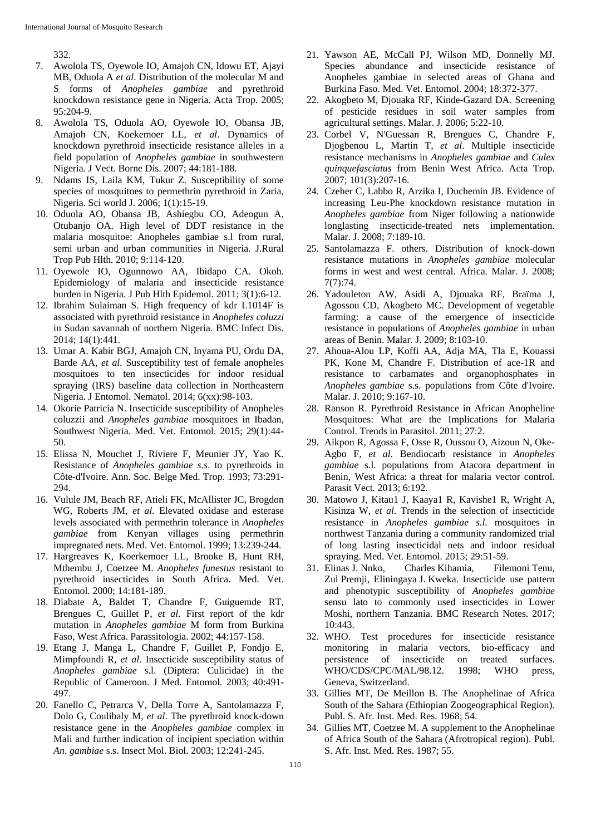332.

- 7. Awolola TS, Oyewole IO, Amajoh CN, Idowu ET, Ajayi MB, Oduola A *et al*. Distribution of the molecular M and S forms of *Anopheles gambiae* and pyrethroid knockdown resistance gene in Nigeria. Acta Trop. 2005; 95:204-9.
- 8. Awolola TS, Oduola AO, Oyewole IO, Obansa JB, Amajoh CN, Koekemoer LL, *et al*. Dynamics of knockdown pyrethroid insecticide resistance alleles in a field population of *Anopheles gambiae* in southwestern Nigeria. J Vect. Borne Dis. 2007; 44:181-188.
- 9. Ndams IS, Laila KM, Tukur Z. Susceptibility of some species of mosquitoes to permethrin pyrethroid in Zaria, Nigeria. Sci world J. 2006; 1(1):15-19.
- 10. Oduola AO, Obansa JB, Ashiegbu CO, Adeogun A, Otubanjo OA. High level of DDT resistance in the malaria mosquitoe: Anopheles gambiae s.l from rural, semi urban and urban communities in Nigeria. J.Rural Trop Pub Hlth*.* 2010; 9:114-120.
- 11. Oyewole IO, Ogunnowo AA, Ibidapo CA. Okoh. Epidemiology of malaria and insecticide resistance burden in Nigeria*.* J Pub Hlth Epidemol*.* 2011; 3(1):6-12.
- 12. Ibrahim Sulaiman S. High frequency of kdr L1014F is associated with pyrethroid resistance in *Anopheles coluzzi* in Sudan savannah of northern Nigeria. BMC Infect Dis. 2014; 14(1):441.
- 13. Umar A. Kabir BGJ, Amajoh CN, Inyama PU, Ordu DA, Barde AA, *et al*. Susceptibility test of female anopheles mosquitoes to ten insecticides for indoor residual spraying (IRS) baseline data collection in Northeastern Nigeria. J Entomol. Nematol. 2014; 6(xx):98-103.
- 14. Okorie Patricia N. Insecticide susceptibility of Anopheles coluzzii and *Anopheles gambiae* mosquitoes in Ibadan, Southwest Nigeria. Med. Vet. Entomol. 2015; 29(1):44- 50.
- 15. Elissa N, Mouchet J, Riviere F, Meunier JY, Yao K. Resistance of *Anopheles gambiae s.s*. to pyrethroids in Côte-d'Ivoire. Ann. Soc. Belge Med. Trop*.* 1993; 73:291- 294.
- 16. Vulule JM, Beach RF, Atieli FK, McAllister JC, Brogdon WG, Roberts JM, *et al*. Elevated oxidase and esterase levels associated with permethrin tolerance in *Anopheles gambiae* from Kenyan villages using permethrin impregnated nets. Med. Vet. Entomol. 1999; 13:239-244.
- 17. Hargreaves K, Koerkemoer LL, Brooke B, Hunt RH, Mthembu J, Coetzee M. *Anopheles funestus* resistant to pyrethroid insecticides in South Africa. Med. Vet. Entomol*.* 2000; 14:181-189.
- 18. Diabate A, Baldet T, Chandre F, Guiguemde RT, Brengues C, Guillet P, *et al*. First report of the kdr mutation in *Anopheles gambiae* M form from Burkina Faso, West Africa. Parassitologia. 2002; 44:157-158.
- 19. Etang J, Manga L, Chandre F, Guillet P, Fondjo E, Mimpfoundi R, *et al*. Insecticide susceptibility status of *Anopheles gambiae* s.l. (Diptera: Culicidae) in the Republic of Cameroon. J Med. Entomol*.* 2003; 40:491- 497.
- 20. Fanello C, Petrarca V, Della Torre A, Santolamazza F, Dolo G, Coulibaly M, *et al*. The pyrethroid knock-down resistance gene in the *Anopheles gambiae* complex in Mali and further indication of incipient speciation within *An*. *gambiae* s.s. Insect Mol. Biol. 2003; 12:241-245.
- 21. Yawson AE, McCall PJ, Wilson MD, Donnelly MJ. Species abundance and insecticide resistance of Anopheles gambiae in selected areas of Ghana and Burkina Faso. Med. Vet. Entomol. 2004; 18:372-377.
- 22. Akogbeto M, Djouaka RF, Kinde-Gazard DA. Screening of pesticide residues in soil water samples from agricultural settings. Malar. J*.* 2006; 5:22-10.
- 23. Corbel V, N'Guessan R, Brengues C, Chandre F, Djogbenou L, Martin T, *et al*. Multiple insecticide resistance mechanisms in *Anopheles gambiae* and *Culex quinquefasciatus* from Benin West Africa. Acta Trop*.*  2007; 101(3):207-16.
- 24. Czeher C, Labbo R, Arzika I, Duchemin JB. Evidence of increasing Leu-Phe knockdown resistance mutation in *Anopheles gambiae* from Niger following a nationwide longlasting insecticide-treated nets implementation. Malar. J. 2008; 7:189-10.
- 25. Santolamazza F. others. Distribution of knock-down resistance mutations in *Anopheles gambiae* molecular forms in west and west central. Africa. Malar. J. 2008; 7(7):74.
- 26. Yadouleton AW, Asidi A, Djouaka RF, Braïma J, Agossou CD, Akogbeto MC. Development of vegetable farming: a cause of the emergence of insecticide resistance in populations of *Anopheles gambiae* in urban areas of Benin. Malar. J. 2009; 8:103-10.
- 27. Ahoua-Alou LP, Koffi AA, Adja MA, Tla E, Kouassi PK, Kone M, Chandre F. Distribution of ace-1R and resistance to carbamates and organophosphates in *Anopheles gambiae* s.s. populations from Côte d'Ivoire. Malar. J. 2010; 9:167-10.
- 28. Ranson R. Pyrethroid Resistance in African Anopheline Mosquitoes: What are the Implications for Malaria Control. Trends in Parasitol. 2011; 27:2.
- 29. Aikpon R, Agossa F, Osse R, Oussou O, Aizoun N, Oke-Agbo F, *et al*. Bendiocarb resistance in *Anopheles gambiae* s.l. populations from Atacora department in Benin, West Africa: a threat for malaria vector control. Parasit Vect*.* 2013; 6:192.
- 30. Matowo J, Kitau1 J*,* Kaaya1 R, Kavishe1 R, Wright A, Kisinza W, *et al*. Trends in the selection of insecticide resistance in *Anopheles gambiae s.l.* mosquitoes in northwest Tanzania during a community randomized trial of long lasting insecticidal nets and indoor residual spraying. Med. Vet. Entomol*.* 2015; 29:51-59.
- 31. Elinas J. Nnko, Charles Kihamia, Filemoni Tenu, Zul Premji, Eliningaya J. Kweka. Insecticide use pattern and phenotypic susceptibility of *Anopheles gambiae* sensu lato to commonly used insecticides in Lower Moshi, northern Tanzania. BMC Research Notes. 2017; 10:443.
- 32. WHO. Test procedures for insecticide resistance monitoring in malaria vectors, bio-efficacy and persistence of insecticide on treated surfaces. WHO/CDS/CPC/MAL/98.12. 1998; WHO press, Geneva, Switzerland.
- 33. Gillies MT, De Meillon B. The Anophelinae of Africa South of the Sahara (Ethiopian Zoogeographical Region). Publ. S. Afr. Inst. Med. Res. 1968; 54.
- 34. Gillies MT, Coetzee M. A supplement to the Anophelinae of Africa South of the Sahara (Afrotropical region). Publ. S. Afr. Inst. Med. Res. 1987; 55.